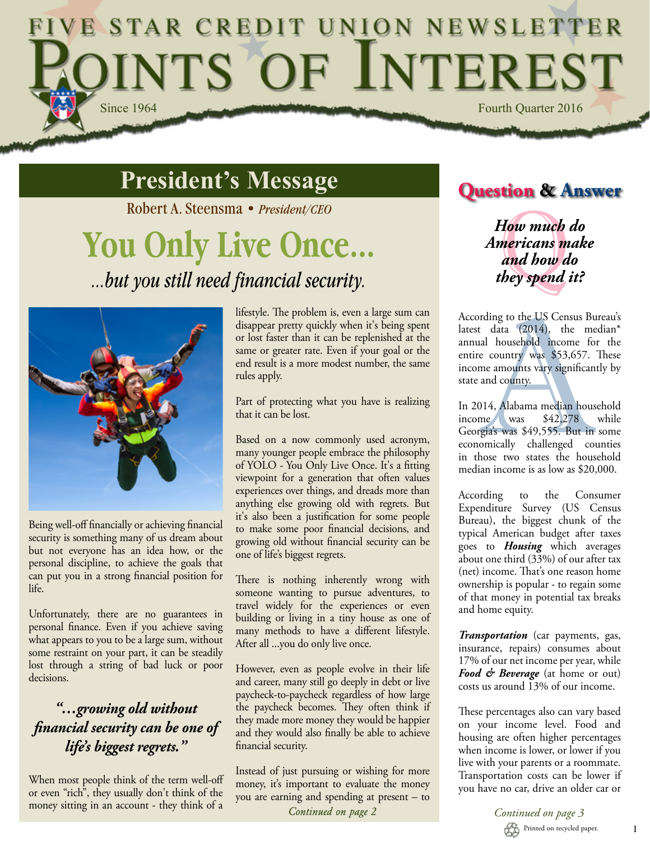## E STAR CREDIT UNION NEWSLETTER INTS OF INTEREST Since 1964 Fourth Quarter 2016

## **President's Message**

Robert A. Steensma • *President/CEO*

# **You Only Live Once** *...but you still need financial security.*



Being well-off financially or achieving financial security is something many of us dream about but not everyone has an idea how, or the personal discipline, to achieve the goals that can put you in a strong financial position for life.

Unfortunately, there are no guarantees in personal finance. Even if you achieve saving what appears to you to be a large sum, without some restraint on your part, it can be steadily lost through a string of bad luck or poor decisions.

### *"…growing old without financial security can be one of life's biggest regrets."*

When most people think of the term well-off or even "rich", they usually don't think of the money sitting in an account - they think of a lifestyle. The problem is, even a large sum can disappear pretty quickly when it's being spent or lost faster than it can be replenished at the same or greater rate. Even if your goal or the end result is a more modest number, the same rules apply.

Part of protecting what you have is realizing that it can be lost.

Based on a now commonly used acronym, many younger people embrace the philosophy of YOLO - You Only Live Once. It's a fitting viewpoint for a generation that often values experiences over things, and dreads more than anything else growing old with regrets. But it's also been a justification for some people to make some poor financial decisions, and growing old without financial security can be one of life's biggest regrets.

There is nothing inherently wrong with someone wanting to pursue adventures, to travel widely for the experiences or even building or living in a tiny house as one of many methods to have a different lifestyle. After all ...you do only live once.

However, even as people evolve in their life and career, many still go deeply in debt or live paycheck-to-paycheck regardless of how large the paycheck becomes. They often think if they made more money they would be happier and they would also finally be able to achieve financial security.

Instead of just pursuing or wishing for more money, it's important to evaluate the money you are earning and spending at present – to Continued on page 2

## **Question & Answer**

*How much do Americans make and how do they spend it?*

According to the US Census Bureau's latest data (2014), the median\* annual household income for the entire country was \$53,657. These income amounts vary significantly by state and county.

In 2014, Alabama median household<br>income was \$42,278 while income was \$42,278 while Georgia's was \$49,555. But in some economically challenged counties in those two states the household median income is as low as \$20,000.

According to the Consumer Expenditure Survey (US Census Bureau), the biggest chunk of the typical American budget after taxes goes to *Housing* which averages about one third (33%) of our after tax (net) income. That's one reason home ownership is popular - to regain some of that money in potential tax breaks and home equity.

*Transportation* (car payments, gas, insurance, repairs) consumes about 17% of our net income per year, while *Food & Beverage* (at home or out) costs us around 13% of our income.

These percentages also can vary based on your income level. Food and housing are often higher percentages when income is lower, or lower if you live with your parents or a roommate. Transportation costs can be lower if you have no car, drive an older car or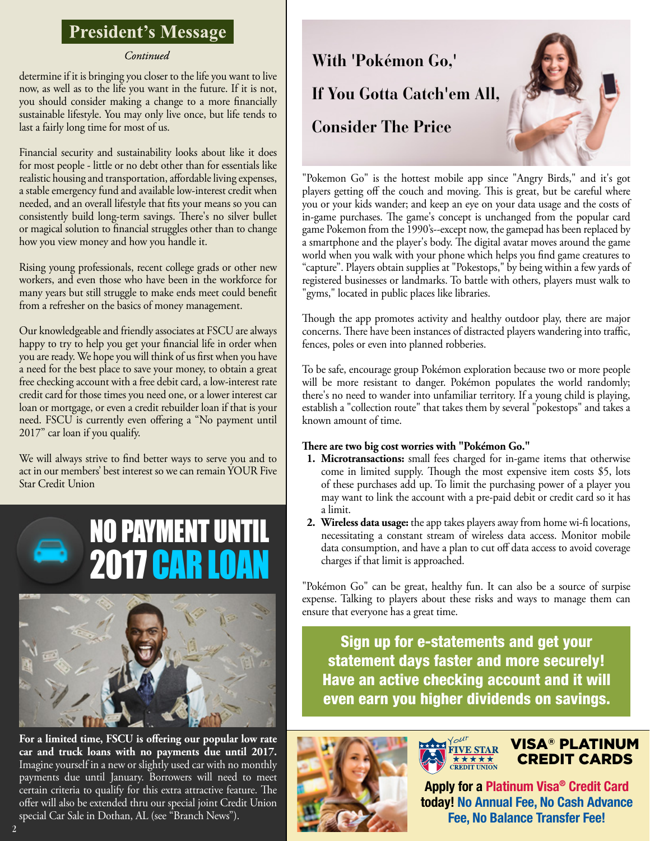### **President's Message**

#### Continued

determine if it is bringing you closer to the life you want to live now, as well as to the life you want in the future. If it is not, you should consider making a change to a more financially sustainable lifestyle. You may only live once, but life tends to last a fairly long time for most of us.

Financial security and sustainability looks about like it does for most people - little or no debt other than for essentials like realistic housing and transportation, affordable living expenses, a stable emergency fund and available low-interest credit when needed, and an overall lifestyle that fits your means so you can consistently build long-term savings. There's no silver bullet or magical solution to financial struggles other than to change how you view money and how you handle it.

Rising young professionals, recent college grads or other new workers, and even those who have been in the workforce for many years but still struggle to make ends meet could benefit from a refresher on the basics of money management.

Our knowledgeable and friendly associates at FSCU are always happy to try to help you get your financial life in order when you are ready. We hope you will think of us first when you have a need for the best place to save your money, to obtain a great free checking account with a free debit card, a low-interest rate credit card for those times you need one, or a lower interest car loan or mortgage, or even a credit rebuilder loan if that is your need. FSCU is currently even offering a "No payment until 2017" car loan if you qualify.

We will always strive to find better ways to serve you and to act in our members' best interest so we can remain YOUR Five Star Credit Union





**For a limited time, FSCU is offering our popular low rate car and truck loans with no payments due until 2017.** Imagine yourself in a new or slightly used car with no monthly payments due until January. Borrowers will need to meet certain criteria to qualify for this extra attractive feature. The offer will also be extended thru our special joint Credit Union special Car Sale in Dothan, AL (see "Branch News").



"Pokemon Go" is the hottest mobile app since "Angry Birds," and it's got players getting off the couch and moving. This is great, but be careful where you or your kids wander; and keep an eye on your data usage and the costs of in-game purchases. The game's concept is unchanged from the popular card game Pokemon from the 1990's--except now, the gamepad has been replaced by a smartphone and the player's body. The digital avatar moves around the game world when you walk with your phone which helps you find game creatures to "capture". Players obtain supplies at "Pokestops," by being within a few yards of registered businesses or landmarks. To battle with others, players must walk to "gyms," located in public places like libraries.

Though the app promotes activity and healthy outdoor play, there are major concerns. There have been instances of distracted players wandering into traffic, fences, poles or even into planned robberies.

To be safe, encourage group Pokémon exploration because two or more people will be more resistant to danger. Pokémon populates the world randomly; there's no need to wander into unfamiliar territory. If a young child is playing, establish a "collection route" that takes them by several "pokestops" and takes a known amount of time.

#### **There are two big cost worries with "Pokémon Go."**

- **1. Microtransactions:** small fees charged for in-game items that otherwise come in limited supply. Though the most expensive item costs \$5, lots of these purchases add up. To limit the purchasing power of a player you may want to link the account with a pre-paid debit or credit card so it has a limit.
- **2. Wireless data usage:** the app takes players away from home wi-fi locations, necessitating a constant stream of wireless data access. Monitor mobile data consumption, and have a plan to cut off data access to avoid coverage charges if that limit is approached.

"Pokémon Go" can be great, healthy fun. It can also be a source of surpise expense. Talking to players about these risks and ways to manage them can ensure that everyone has a great time.

Sign up for e-statements and get your statement days faster and more securely! Have an active checking account and it will even earn you higher dividends on savings.

> **FIVE STAR**  $\overrightarrow{\textbf{X} \times \textbf{X} \times \textbf{X}}$ REDIT UNION



### VISA® PLATINUM CREDIT CARDS

Apply for a Platinum Visa® Credit Card today! No Annual Fee, No Cash Advance Fee, No Balance Transfer Fee!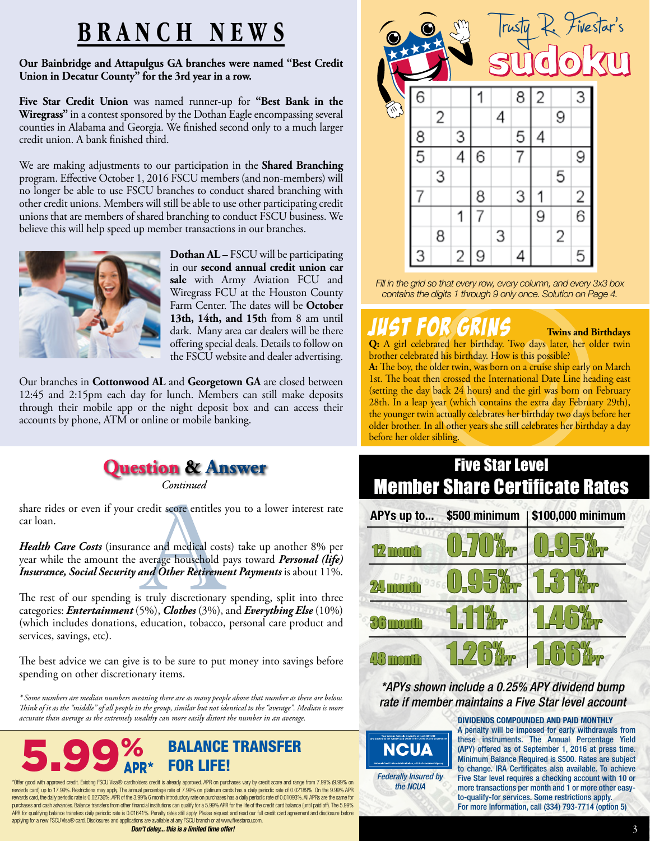## **BRANCH NEWS**

**Our Bainbridge and Attapulgus GA branches were named "Best Credit Union in Decatur County" for the 3rd year in a row.**

**Five Star Credit Union** was named runner-up for **"Best Bank in the Wiregrass"** in a contest sponsored by the Dothan Eagle encompassing several counties in Alabama and Georgia. We finished second only to a much larger credit union. A bank finished third.

We are making adjustments to our participation in the **Shared Branching**  program. Effective October 1, 2016 FSCU members (and non-members) will no longer be able to use FSCU branches to conduct shared branching with other credit unions. Members will still be able to use other participating credit unions that are members of shared branching to conduct FSCU business. We believe this will help speed up member transactions in our branches.



**Dothan AL –** FSCU will be participating in our **second annual credit union car sale** with Army Aviation FCU and Wiregrass FCU at the Houston County Farm Center. The dates will be **October 13th, 14th, and 15t**h from 8 am until dark. Many area car dealers will be there offering special deals. Details to follow on the FSCU website and dealer advertising.

Our branches in **Cottonwood AL** and **Georgetown GA** are closed between 12:45 and 2:15pm each day for lunch. Members can still make deposits through their mobile app or the night deposit box and can access their accounts by phone, ATM or online or mobile banking.



Continued

share rides or even if your credit score entitles you to a lower interest rate car loan.

*Health Care Costs* (insurance and medical costs) take up another 8% per year while the amount the average household pays toward *Personal (life) Insurance, Social Security and Other Retirement Payments* is about 11%.

The rest of our spending is truly discretionary spending, split into three categories: *Entertainment* (5%), *Clothes* (3%), and *Everything Else* (10%) (which includes donations, education, tobacco, personal care product and services, savings, etc).

The best advice we can give is to be sure to put money into savings before spending on other discretionary items.

*\* Some numbers are median numbers meaning there are as many people above that number as there are below. Think of it as the "middle" of all people in the group, similar but not identical to the "average". Median is more accurate than average as the extremely wealthy can more easily distort the number in an average.*



\*Offer good with approved credit. Existing FSCU Visa® cardholders credit is already approved. APR on purchases vary by credit score and range from 7.99% (9.99% on rewards card) up to 17.99%. Restrictions may apply. The annual percentage rate of 7.99% on platinum cards has a daily periodic rate of 0.02189%. On the 9.99% APR rewards card, the daily periodic rate is 0.02736%. APR of the 3.99% 6 month introductory rate on purchases has a daily periodic rate of 0.01093%. All APRs are the same for<br>purchases and cash advances. Balance transfers fro APR for qualifying balance transfers daily periodic rate is 0.01641%. Penalty rates still apply. Please request and read our full credit card agreement and disclosure before applying for a new FSCU Visa® card. Disclosures and applications are available at any FSCU branch or at www.fivestarcu.com.

*Don't delay... this is a limited time offer!*



*Fill in the grid so that every row, every column, and every 3x3 box contains the digits 1 through 9 only once. Solution on Page 4.*

## JUST FOR GRINS **Twins and Birthdays**

**Q:** A girl celebrated her birthday. Two days later, her older twin brother celebrated his birthday. How is this possible?

**A:** The boy, the older twin, was born on a cruise ship early on March 1st. The boat then crossed the International Date Line heading east (setting the day back 24 hours) and the girl was born on February 28th. In a leap year (which contains the extra day February 29th), the younger twin actually celebrates her birthday two days before her older brother. In all other years she still celebrates her birthday a day before her older sibling.



*\*APYs shown include a 0.25% APY dividend bump rate if member maintains a Five Star level account*



DIVIDENDS COMPOUNDED AND PAID MONTHLY A penalty will be imposed for early withdrawals from these instruments. The Annual Percentage Yield (APY) offered as of September 1, 2016 at press time. Minimum Balance Required is \$500. Rates are subject to change. IRA Certificates also available. To achieve Five Star level requires a checking account with 10 or more transactions per month and 1 or more other easyto-qualify-for services. Some restrictions apply. For more Information, call (334) 793-7714 (option 5)